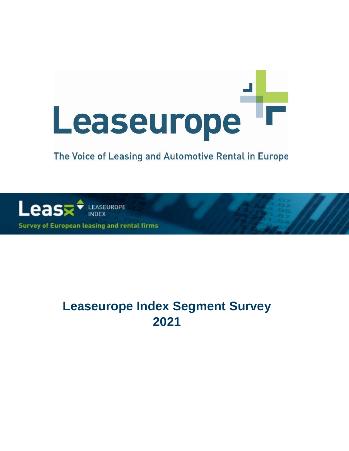# Leaseurope

# The Voice of Leasing and Automotive Rental in Europe



**Survey of European leasing and rental firms** 

# **Leaseurope Index Segment Survey 2021**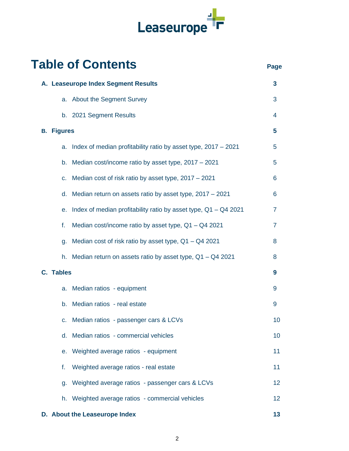

|                   | <b>Table of Contents</b>                                          | Page           |
|-------------------|-------------------------------------------------------------------|----------------|
|                   | A. Leaseurope Index Segment Results                               | 3              |
|                   | a. About the Segment Survey                                       | 3              |
|                   | b. 2021 Segment Results                                           | 4              |
| <b>B.</b> Figures |                                                                   | 5              |
| a.                | Index of median profitability ratio by asset type, 2017 - 2021    | 5              |
| b.                | Median cost/income ratio by asset type, 2017 - 2021               | 5              |
| C.                | Median cost of risk ratio by asset type, 2017 - 2021              | 6              |
| d.                | Median return on assets ratio by asset type, 2017 - 2021          | 6              |
| е.                | Index of median profitability ratio by asset type, $Q1 - Q4$ 2021 | $\overline{7}$ |
| f.                | Median cost/income ratio by asset type, $Q1 - Q4$ 2021            | $\overline{7}$ |
| g.                | Median cost of risk ratio by asset type, Q1 - Q4 2021             | 8              |
| h.                | Median return on assets ratio by asset type, $Q1 - Q4$ 2021       | 8              |
| <b>C.</b> Tables  |                                                                   | 9              |
| a.                | Median ratios - equipment                                         | 9              |
|                   | b. Median ratios - real estate                                    | 9              |
| $C_{\star}$       | Median ratios - passenger cars & LCVs                             | 10             |
| d.                | Median ratios - commercial vehicles                               | 10             |
|                   | e. Weighted average ratios - equipment                            | 11             |
| f.                | Weighted average ratios - real estate                             | 11             |
| q.                | Weighted average ratios - passenger cars & LCVs                   | 12             |
|                   | h. Weighted average ratios - commercial vehicles                  | 12             |
|                   | D. About the Leaseurope Index                                     | 13             |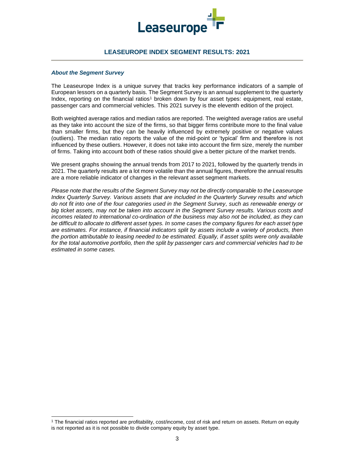

### **LEASEUROPE INDEX SEGMENT RESULTS: 2021**

#### *About the Segment Survey*

The Leaseurope Index is a unique survey that tracks key performance indicators of a sample of European lessors on a quarterly basis. The Segment Survey is an annual supplement to the quarterly Index, reporting on the financial ratios<sup>1</sup> broken down by four asset types: equipment, real estate, passenger cars and commercial vehicles. This 2021 survey is the eleventh edition of the project.

Both weighted average ratios and median ratios are reported. The weighted average ratios are useful as they take into account the size of the firms, so that bigger firms contribute more to the final value than smaller firms, but they can be heavily influenced by extremely positive or negative values (outliers). The median ratio reports the value of the mid-point or 'typical' firm and therefore is not influenced by these outliers. However, it does not take into account the firm size, merely the number of firms. Taking into account both of these ratios should give a better picture of the market trends.

We present graphs showing the annual trends from 2017 to 2021, followed by the quarterly trends in 2021. The quarterly results are a lot more volatile than the annual figures, therefore the annual results are a more reliable indicator of changes in the relevant asset segment markets.

*Please note that the results of the Segment Survey may not be directly comparable to the Leaseurope Index Quarterly Survey. Various assets that are included in the Quarterly Survey results and which do not fit into one of the four categories used in the Segment Survey, such as renewable energy or big ticket assets, may not be taken into account in the Segment Survey results. Various costs and incomes related to international co-ordination of the business may also not be included, as they can be difficult to allocate to different asset types. In some cases the company figures for each asset type are estimates. For instance, if financial indicators split by assets include a variety of products, then the portion attributable to leasing needed to be estimated. Equally, if asset splits were only available for the total automotive portfolio, then the split by passenger cars and commercial vehicles had to be estimated in some cases.*

<sup>1</sup> The financial ratios reported are profitability, cost/income, cost of risk and return on assets. Return on equity is not reported as it is not possible to divide company equity by asset type.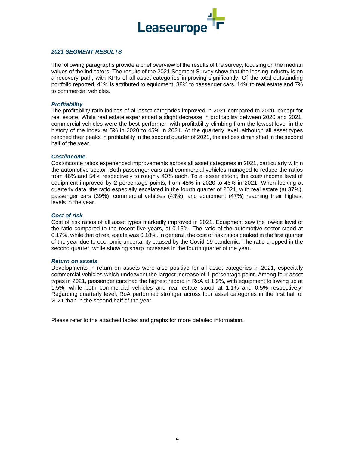

#### *2021 SEGMENT RESULTS*

The following paragraphs provide a brief overview of the results of the survey, focusing on the median values of the indicators. The results of the 2021 Segment Survey show that the leasing industry is on a recovery path, with KPIs of all asset categories improving significantly. Of the total outstanding portfolio reported, 41% is attributed to equipment, 38% to passenger cars, 14% to real estate and 7% to commercial vehicles.

#### *Profitability*

The profitability ratio indices of all asset categories improved in 2021 compared to 2020, except for real estate. While real estate experienced a slight decrease in profitability between 2020 and 2021, commercial vehicles were the best performer, with profitability climbing from the lowest level in the history of the index at 5% in 2020 to 45% in 2021. At the quarterly level, although all asset types reached their peaks in profitability in the second quarter of 2021, the indices diminished in the second half of the year.

#### *Cost/income*

Cost/income ratios experienced improvements across all asset categories in 2021, particularly within the automotive sector. Both passenger cars and commercial vehicles managed to reduce the ratios from 46% and 54% respectively to roughly 40% each. To a lesser extent, the cost/ income level of equipment improved by 2 percentage points, from 48% in 2020 to 46% in 2021. When looking at quarterly data, the ratio especially escalated in the fourth quarter of 2021, with real estate (at 37%), passenger cars (39%), commercial vehicles (43%), and equipment (47%) reaching their highest levels in the year.

#### *Cost of risk*

Cost of risk ratios of all asset types markedly improved in 2021. Equipment saw the lowest level of the ratio compared to the recent five years, at 0.15%. The ratio of the automotive sector stood at 0.17%, while that of real estate was 0.18%. In general, the cost of risk ratios peaked in the first quarter of the year due to economic uncertainty caused by the Covid-19 pandemic. The ratio dropped in the second quarter, while showing sharp increases in the fourth quarter of the year.

#### *Return on assets*

Developments in return on assets were also positive for all asset categories in 2021, especially commercial vehicles which underwent the largest increase of 1 percentage point. Among four asset types in 2021, passenger cars had the highest record in RoA at 1.9%, with equipment following up at 1.5%, while both commercial vehicles and real estate stood at 1.1% and 0.5% respectively. Regarding quarterly level, RoA performed stronger across four asset categories in the first half of 2021 than in the second half of the year.

Please refer to the attached tables and graphs for more detailed information.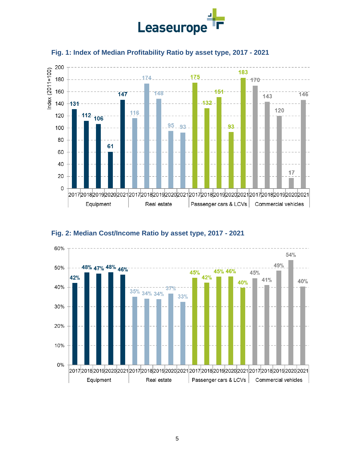







# **Fig. 2: Median Cost/Income Ratio by asset type, 2017 - 2021**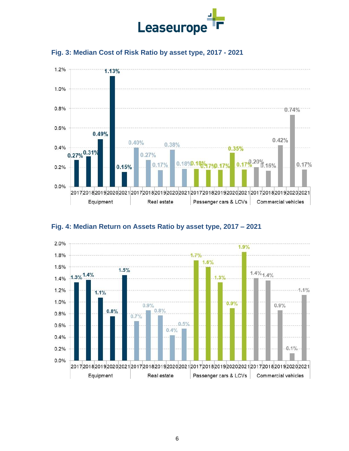





# **Fig. 4: Median Return on Assets Ratio by asset type, 2017 – 2021**

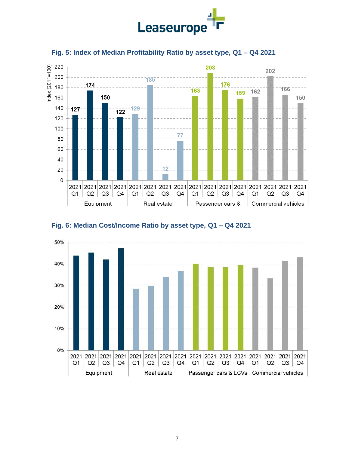



# **Fig. 5: Index of Median Profitability Ratio by asset type, Q1 – Q4 2021**



# **Fig. 6: Median Cost/Income Ratio by asset type, Q1 – Q4 2021**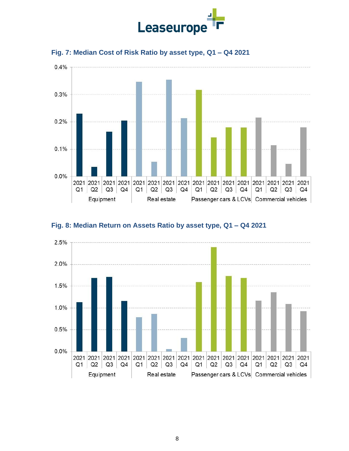



# **Fig. 7: Median Cost of Risk Ratio by asset type, Q1 – Q4 2021**

# **Fig. 8: Median Return on Assets Ratio by asset type, Q1 – Q4 2021**

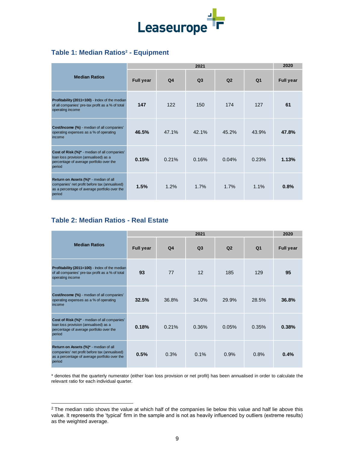

## **Table 1: Median Ratios<sup>2</sup> - Equipment**

|                                                                                                                                                   |                  | 2020           |                |                |                |                  |
|---------------------------------------------------------------------------------------------------------------------------------------------------|------------------|----------------|----------------|----------------|----------------|------------------|
| <b>Median Ratios</b>                                                                                                                              | <b>Full year</b> | Q <sub>4</sub> | Q <sub>3</sub> | Q <sub>2</sub> | Q <sub>1</sub> | <b>Full year</b> |
| Profitability (2011=100) - Index of the median<br>of all companies' pre-tax profit as a % of total<br>operating income                            | 147              | 122            | 150            | 174            | 127            | 61               |
| Cost/Income (%) - median of all companies'<br>operating expenses as a % of operating<br>income                                                    | 46.5%            | 47.1%          | 42.1%          | 45.2%          | 43.9%          | 47.8%            |
| Cost of Risk (%)* - median of all companies'<br>loan loss provision (annualised) as a<br>percentage of average portfolio over the<br>period       | 0.15%            | 0.21%          | 0.16%          | 0.04%          | 0.23%          | 1.13%            |
| Return on Assets (%)* - median of all<br>companies' net profit before tax (annualised)<br>as a percentage of average portfolio over the<br>period | 1.5%             | 1.2%           | 1.7%           | 1.7%           | 1.1%           | 0.8%             |

# **Table 2: Median Ratios - Real Estate**

|                                                                                                                                                   |                  | 2020           |                |       |       |                  |
|---------------------------------------------------------------------------------------------------------------------------------------------------|------------------|----------------|----------------|-------|-------|------------------|
| <b>Median Ratios</b>                                                                                                                              | <b>Full year</b> | Q <sub>4</sub> | Q <sub>3</sub> | Q2    | Q1    | <b>Full year</b> |
| Profitability (2011=100) - Index of the median<br>of all companies' pre-tax profit as a % of total<br>operating income                            | 93               | 77             | 12             | 185   | 129   | 95               |
| Cost/Income (%) - median of all companies'<br>operating expenses as a % of operating<br>income                                                    | 32.5%            | 36.8%          | 34.0%          | 29.9% | 28.5% | 36.8%            |
| Cost of Risk (%)* - median of all companies'<br>loan loss provision (annualised) as a<br>percentage of average portfolio over the<br>period       | 0.18%            | 0.21%          | 0.36%          | 0.05% | 0.35% | 0.38%            |
| Return on Assets (%)* - median of all<br>companies' net profit before tax (annualised)<br>as a percentage of average portfolio over the<br>period | 0.5%             | 0.3%           | 0.1%           | 0.9%  | 0.8%  | 0.4%             |

<sup>&</sup>lt;sup>2</sup> The median ratio shows the value at which half of the companies lie below this value and half lie above this value. It represents the 'typical' firm in the sample and is not as heavily influenced by outliers (extreme results) as the weighted average.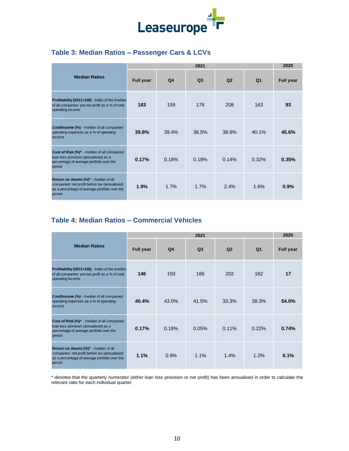

# **Table 3: Median Ratios – Passenger Cars & LCVs**

|                                                                                                                                                   |                  | 2020           |                |                |                |                  |
|---------------------------------------------------------------------------------------------------------------------------------------------------|------------------|----------------|----------------|----------------|----------------|------------------|
| <b>Median Ratios</b>                                                                                                                              | <b>Full year</b> | Q <sub>4</sub> | Q <sub>3</sub> | Q <sub>2</sub> | Q <sub>1</sub> | <b>Full year</b> |
| Profitability (2011=100) - Index of the median<br>of all companies' pre-tax profit as a % of total<br>operating income                            | 183              | 159            | 176            | 208            | 163            | 93               |
| Cost/Income (%) - median of all companies'<br>operating expenses as a % of operating<br>income                                                    | 39.8%            | 39.4%          | 38.5%          | 38.6%          | 40.1%          | 45.6%            |
| Cost of Risk (%)* - median of all companies'<br>loan loss provision (annualised) as a<br>percentage of average portfolio over the<br>period       | 0.17%            | 0.18%          | 0.18%          | 0.14%          | 0.32%          | 0.35%            |
| Return on Assets (%)* - median of all<br>companies' net profit before tax (annualised)<br>as a percentage of average portfolio over the<br>period | 1.9%             | 1.7%           | 1.7%           | 2.4%           | 1.6%           | 0.9%             |

# **Table 4: Median Ratios – Commercial Vehicles**

|                                                                                                                                                   |                  | 2020  |                |                |       |                  |
|---------------------------------------------------------------------------------------------------------------------------------------------------|------------------|-------|----------------|----------------|-------|------------------|
| <b>Median Ratios</b>                                                                                                                              | <b>Full year</b> | Q4    | Q <sub>3</sub> | Q <sub>2</sub> | Q1    | <b>Full year</b> |
| Profitability (2011=100) - Index of the median<br>of all companies' pre-tax profit as a % of total<br>operating income                            | 146              | 150   | 166            | 202            | 162   | 17               |
| Cost/Income (%) - median of all companies'<br>operating expenses as a % of operating<br>income                                                    | 40.4%            | 43.0% | 41.5%          | 33.3%          | 38.3% | 54.0%            |
| Cost of Risk (%)* - median of all companies'<br>loan loss provision (annualised) as a<br>percentage of average portfolio over the<br>period       | 0.17%            | 0.18% | 0.05%          | $0.11\%$       | 0.22% | 0.74%            |
| Return on Assets (%)* - median of all<br>companies' net profit before tax (annualised)<br>as a percentage of average portfolio over the<br>period | 1.1%             | 0.9%  | 1.1%           | 1.4%           | 1.2%  | 0.1%             |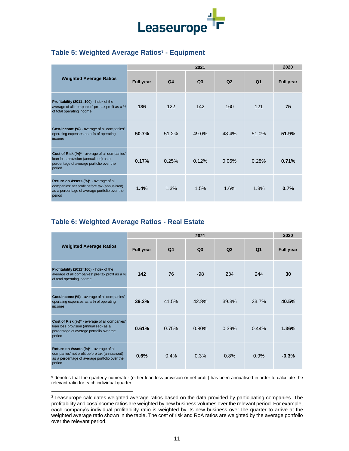

# **Table 5: Weighted Average Ratios<sup>3</sup> - Equipment**

|                                                                                                                                                    |                  | 2020           |                |                |                |                  |
|----------------------------------------------------------------------------------------------------------------------------------------------------|------------------|----------------|----------------|----------------|----------------|------------------|
| <b>Weighted Average Ratios</b>                                                                                                                     | <b>Full year</b> | Q <sub>4</sub> | Q <sub>3</sub> | Q <sub>2</sub> | Q <sub>1</sub> | <b>Full year</b> |
| Profitability (2011=100) - Index of the<br>average of all companies' pre-tax profit as a %<br>of total operating income                            | 136              | 122            | 142            | 160            | 121            | 75               |
| Cost/Income (%) - average of all companies'<br>operating expenses as a % of operating<br>income                                                    | 50.7%            | 51.2%          | 49.0%          | 48.4%          | 51.0%          | 51.9%            |
| Cost of Risk (%)* - average of all companies'<br>loan loss provision (annualised) as a<br>percentage of average portfolio over the<br>period       | 0.17%            | 0.25%          | 0.12%          | 0.06%          | 0.28%          | 0.71%            |
| Return on Assets (%)* - average of all<br>companies' net profit before tax (annualised)<br>as a percentage of average portfolio over the<br>period | 1.4%             | 1.3%           | 1.5%           | 1.6%           | 1.3%           | 0.7%             |

# **Table 6: Weighted Average Ratios - Real Estate**

|                                                                                                                                                           |                  | 2020  |                |                |                |                  |
|-----------------------------------------------------------------------------------------------------------------------------------------------------------|------------------|-------|----------------|----------------|----------------|------------------|
| <b>Weighted Average Ratios</b>                                                                                                                            | <b>Full year</b> | Q4    | Q <sub>3</sub> | Q <sub>2</sub> | Q <sub>1</sub> | <b>Full year</b> |
| Profitability (2011=100) - Index of the<br>average of all companies' pre-tax profit as a %<br>of total operating income                                   | 142              | 76    | $-98$          | 234            | 244            | 30               |
| Cost/Income (%) - average of all companies'<br>operating expenses as a % of operating<br>income                                                           | 39.2%            | 41.5% | 42.8%          | 39.3%          | 33.7%          | 40.5%            |
| Cost of Risk (%)* - average of all companies'<br>loan loss provision (annualised) as a<br>percentage of average portfolio over the<br>period              | 0.61%            | 0.75% | 0.80%          | 0.39%          | 0.44%          | 1.36%            |
| <b>Return on Assets (%)*</b> - average of all<br>companies' net profit before tax (annualised)<br>as a percentage of average portfolio over the<br>period | 0.6%             | 0.4%  | 0.3%           | 0.8%           | 0.9%           | $-0.3%$          |

<sup>&</sup>lt;sup>3</sup> Leaseurope calculates weighted average ratios based on the data provided by participating companies. The profitability and cost/income ratios are weighted by new business volumes over the relevant period. For example, each company's individual profitability ratio is weighted by its new business over the quarter to arrive at the weighted average ratio shown in the table. The cost of risk and RoA ratios are weighted by the average portfolio over the relevant period.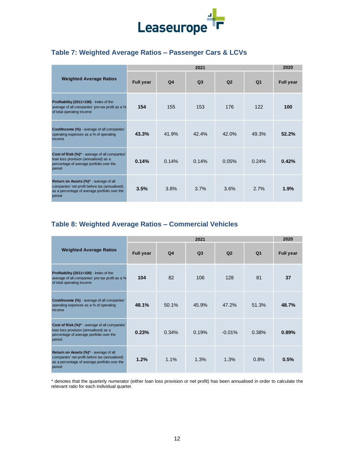

# **Table 7: Weighted Average Ratios – Passenger Cars & LCVs**

|                                                                                                                                                    |                  | 2020           |                |                |                |                  |  |  |  |
|----------------------------------------------------------------------------------------------------------------------------------------------------|------------------|----------------|----------------|----------------|----------------|------------------|--|--|--|
| <b>Weighted Average Ratios</b>                                                                                                                     | <b>Full year</b> | Q <sub>4</sub> | Q <sub>3</sub> | Q <sub>2</sub> | Q <sub>1</sub> | <b>Full year</b> |  |  |  |
| Profitability (2011=100) - Index of the<br>average of all companies' pre-tax profit as a %<br>of total operating income                            | 154              | 155            | 153            | 176            | 122            | 100              |  |  |  |
| Cost/Income (%) - average of all companies'<br>operating expenses as a % of operating<br>income                                                    | 43.3%            | 41.9%          | 42.4%          | 42.0%          | 49.3%          | 52.2%            |  |  |  |
| Cost of Risk (%)* - average of all companies'<br>loan loss provision (annualised) as a<br>percentage of average portfolio over the<br>period       | 0.14%            | 0.14%          | 0.14%          | 0.05%          | 0.24%          | 0.42%            |  |  |  |
| Return on Assets (%)* - average of all<br>companies' net profit before tax (annualised)<br>as a percentage of average portfolio over the<br>period | 3.5%             | 3.8%           | 3.7%           | 3.6%           | 2.7%           | 1.9%             |  |  |  |
| Table 8: Weighted Average Ratios - Commercial Vehicles                                                                                             |                  |                |                |                |                |                  |  |  |  |
|                                                                                                                                                    |                  |                | 2021           |                |                | 2020             |  |  |  |

# **Table 8: Weighted Average Ratios – Commercial Vehicles**

|                                                                                                                                                    |                  | 2020           |       |                |                |                  |
|----------------------------------------------------------------------------------------------------------------------------------------------------|------------------|----------------|-------|----------------|----------------|------------------|
| <b>Weighted Average Ratios</b>                                                                                                                     | <b>Full year</b> | Q <sub>4</sub> | Q3    | Q <sub>2</sub> | Q <sub>1</sub> | <b>Full year</b> |
| Profitability (2011=100) - Index of the<br>average of all companies' pre-tax profit as a %<br>of total operating income                            | 104              | 82             | 106   | 128            | 81             | 37               |
| Cost/Income (%) - average of all companies'<br>operating expenses as a % of operating<br>income                                                    | 48.1%            | 50.1%          | 45.9% | 47.2%          | 51.3%          | 48.7%            |
| Cost of Risk (%)* - average of all companies'<br>loan loss provision (annualised) as a<br>percentage of average portfolio over the<br>period       | 0.23%            | 0.34%          | 0.19% | $-0.01%$       | 0.38%          | 0.89%            |
| Return on Assets (%)* - average of all<br>companies' net profit before tax (annualised)<br>as a percentage of average portfolio over the<br>period | 1.2%             | 1.1%           | 1.3%  | 1.3%           | 0.8%           | 0.5%             |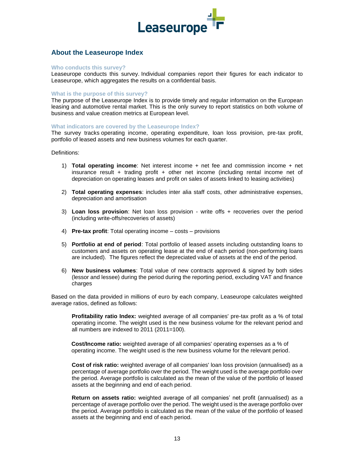

## **About the Leaseurope Index**

#### **Who conducts this survey?**

Leaseurope conducts this survey. Individual companies report their figures for each indicator to Leaseurope, which aggregates the results on a confidential basis.

#### **What is the purpose of this survey?**

The purpose of the Leaseurope Index is to provide timely and regular information on the European leasing and automotive rental market. This is the only survey to report statistics on both volume of business and value creation metrics at European level.

#### **What indicators are covered by the Leaseurope Index?**

The survey tracks operating income, operating expenditure, loan loss provision, pre-tax profit, portfolio of leased assets and new business volumes for each quarter.

Definitions:

- 1) **Total operating income**: Net interest income + net fee and commission income + net insurance result + trading profit + other net income (including rental income net of depreciation on operating leases and profit on sales of assets linked to leasing activities)
- 2) **Total operating expenses**: includes inter alia staff costs, other administrative expenses, depreciation and amortisation
- 3) **Loan loss provision**: Net loan loss provision write offs + recoveries over the period (including write-offs/recoveries of assets)
- 4) **Pre-tax profit**: Total operating income costs provisions
- 5) **Portfolio at end of period**: Total portfolio of leased assets including outstanding loans to customers and assets on operating lease at the end of each period (non-performing loans are included). The figures reflect the depreciated value of assets at the end of the period.
- 6) **New business volumes**: Total value of new contracts approved & signed by both sides (lessor and lessee) during the period during the reporting period, excluding VAT and finance charges

Based on the data provided in millions of euro by each company, Leaseurope calculates weighted average ratios, defined as follows:

**Profitability ratio Index:** weighted average of all companies' pre-tax profit as a % of total operating income. The weight used is the new business volume for the relevant period and all numbers are indexed to 2011 (2011=100).

**Cost/Income ratio:** weighted average of all companies' operating expenses as a % of operating income. The weight used is the new business volume for the relevant period.

**Cost of risk ratio:** weighted average of all companies' loan loss provision (annualised) as a percentage of average portfolio over the period. The weight used is the average portfolio over the period. Average portfolio is calculated as the mean of the value of the portfolio of leased assets at the beginning and end of each period.

**Return on assets ratio:** weighted average of all companies' net profit (annualised) as a percentage of average portfolio over the period. The weight used is the average portfolio over the period. Average portfolio is calculated as the mean of the value of the portfolio of leased assets at the beginning and end of each period.